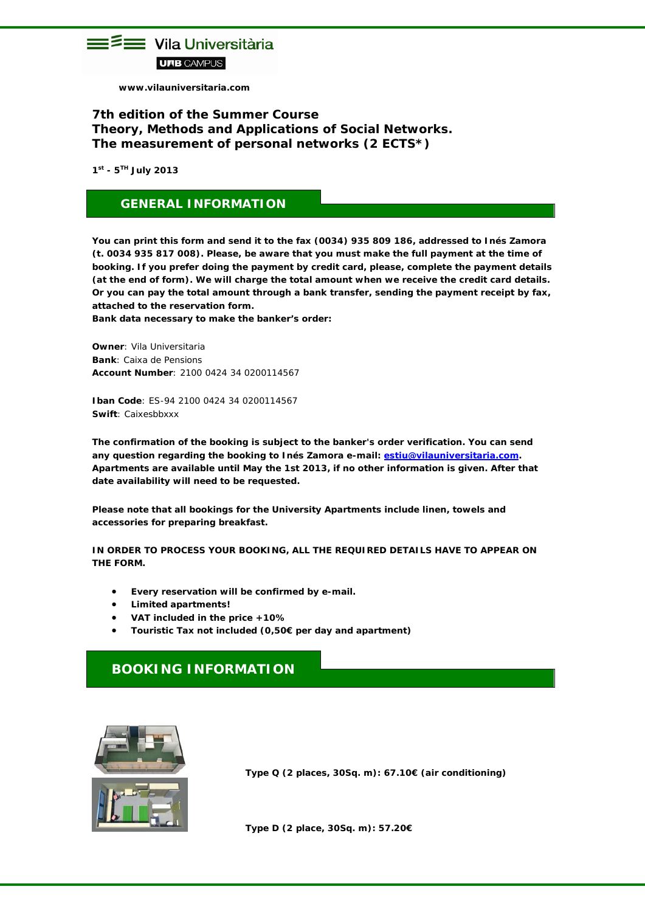

 **www.vilauniversitaria.com**

### **7th edition of the Summer Course** *Theory, Methods and Applications of Social Networks. The measurement of personal networks (2 ECTS\*)*

**1st - 5TH July 2013**

## **GENERAL INFORMATION**

**You can print this form and send it to the fax (0034) 935 809 186, addressed to Inés Zamora (t. 0034 935 817 008). Please, be aware that you must make the full payment at the time of booking. If you prefer doing the payment by credit card, please, complete the payment details (at the end of form). We will charge the total amount when we receive the credit card details. Or you can pay the total amount through a bank transfer, sending the payment receipt by fax, attached to the reservation form.** 

**Bank data necessary to make the banker's order:** 

**Owner**: Vila Universitaria **Bank**: Caixa de Pensions **Account Number**: 2100 0424 34 0200114567

**Iban Code**: ES-94 2100 0424 34 0200114567 **Swift**: Caixesbbxxx

**The confirmation of the booking is subject to the banker's order verification. You can send any question regarding the booking to Inés Zamora e-mail: [estiu@vilauniversitaria.com.](mailto:estiu@vilauniversitaria.com) Apartments are available until May the 1st 2013, if no other information is given. After that date availability will need to be requested.**

**Please note that all bookings for the University Apartments include linen, towels and accessories for preparing breakfast.** 

**IN ORDER TO PROCESS YOUR BOOKING, ALL THE REQUIRED DETAILS HAVE TO APPEAR ON THE FORM.** 

- **Every reservation will be confirmed by e-mail.**
- **Limited apartments!**
- **VAT included in the price +10%**
- **Touristic Tax not included (0,50€ per day and apartment)**

## **BOOKING INFORMATION**



**Type Q (2 places, 30Sq. m): 67.10€ (air conditioning)**

**Type D (2 place, 30Sq. m): 57.20€**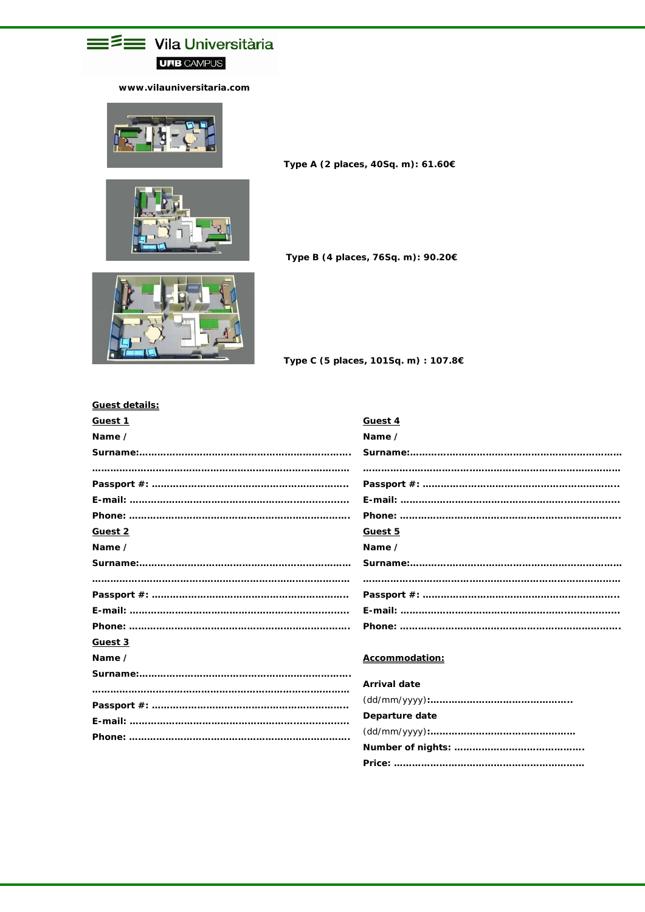## **E** Vila Universitària **UFB CAMPUS**

#### www.vilauniversitaria.com



Type A (2 places, 40Sq. m): 61.60€

Type B (4 places, 76Sq. m): 90.20€



Type C (5 places, 101Sq. m) : 107.8€

| <u>Guest details:</u> |                     |
|-----------------------|---------------------|
| <b>Guest 1</b>        | Guest 4             |
| Name /                | Name /              |
|                       |                     |
|                       |                     |
|                       |                     |
|                       |                     |
|                       |                     |
| <b>Guest 2</b>        | Guest 5             |
| Name /                | Name /              |
|                       |                     |
|                       |                     |
|                       |                     |
|                       |                     |
|                       |                     |
| <b>Guest 3</b>        |                     |
| Name ⁄                | Accommodation:      |
|                       |                     |
|                       | <b>Arrival date</b> |
|                       |                     |
|                       | Departure date      |
|                       |                     |
|                       |                     |
|                       |                     |